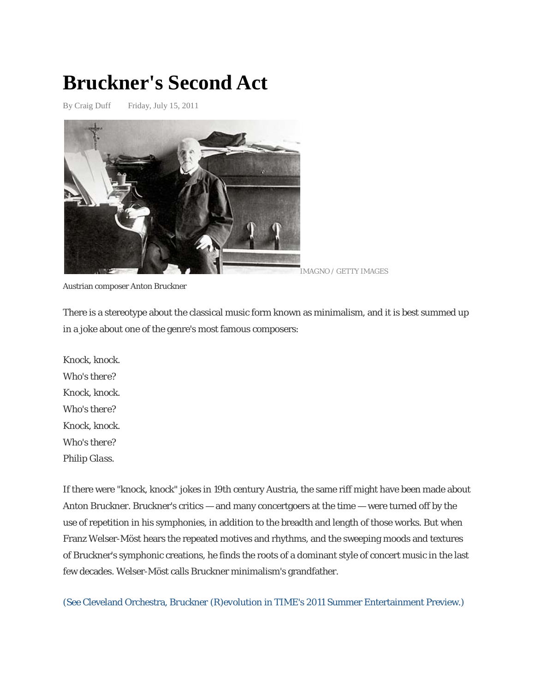## **Bruckner's Second Act**

By Craig Duff Friday, July 15, 2011



Austrian composer Anton Bruckner

There is a stereotype about the classical music form known as minimalism, and it is best summed up in a joke about one of the genre's most famous composers:

*Knock, knock. Who's there? Knock, knock. Who's there? Knock, knock. Who's there? Philip Glass.*

If there were "knock, knock" jokes in 19th century Austria, the same riff might have been made about Anton Bruckner. Bruckner's critics — and many concertgoers at the time — were turned off by the use of repetition in his symphonies, in addition to the breadth and length of those works. But when Franz Welser-Möst hears the repeated motives and rhythms, and the sweeping moods and textures of Bruckner's symphonic creations, he finds the roots of a dominant style of concert music in the last few decades. Welser-Möst calls Bruckner minimalism's grandfather.

(See Cleveland Orchestra, *Bruckner (R)evolution* [in TIME's 2011 Summer Entertainment Preview.\)](http://www.time.com/time/specials/packages/article/0,28804,2070763_2072056_2072259,00.html)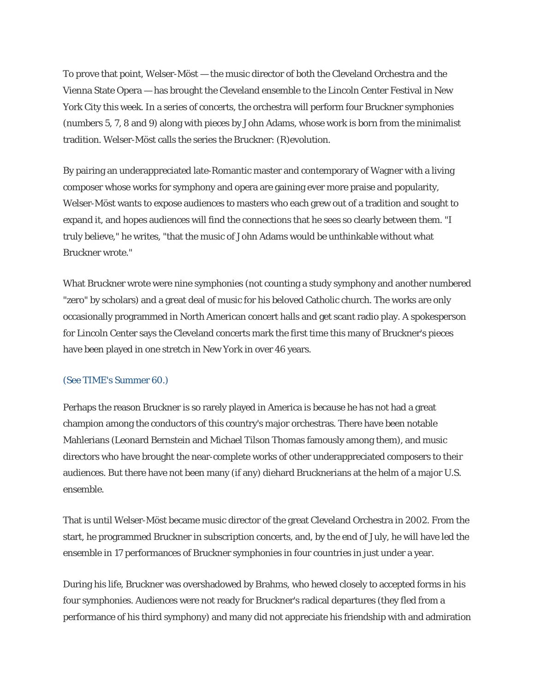To prove that point, Welser-Möst — the music director of both the Cleveland Orchestra and the Vienna State Opera — has brought the Cleveland ensemble to the Lincoln Center Festival in New York City this week. In a series of concerts, the orchestra will perform four Bruckner symphonies (numbers 5, 7, 8 and 9) along with pieces by John Adams, whose work is born from the minimalist tradition. Welser-Möst calls the series the Bruckner: (R)evolution.

By pairing an underappreciated late-Romantic master and contemporary of Wagner with a living composer whose works for symphony and opera are gaining ever more praise and popularity, Welser-Möst wants to expose audiences to masters who each grew out of a tradition and sought to expand it, and hopes audiences will find the connections that he sees so clearly between them. "I truly believe," he writes, "that the music of John Adams would be unthinkable without what Bruckner wrote."

What Bruckner wrote were nine symphonies (not counting a study symphony and another numbered "zero" by scholars) and a great deal of music for his beloved Catholic church. The works are only occasionally programmed in North American concert halls and get scant radio play. A spokesperson for Lincoln Center says the Cleveland concerts mark the first time this many of Bruckner's pieces have been played in one stretch in New York in over 46 years.

## [\(See TIME's Summer 60.\)](http://www.time.com/time/specials/packages/article/0,28804,2083074_2083071_2083052,00.html)

Perhaps the reason Bruckner is so rarely played in America is because he has not had a great champion among the conductors of this country's major orchestras. There have been notable Mahlerians (Leonard Bernstein and Michael Tilson Thomas famously among them), and music directors who have brought the near-complete works of other underappreciated composers to their audiences. But there have not been many (if any) diehard Brucknerians at the helm of a major U.S. ensemble.

That is until Welser-Möst became music director of the great Cleveland Orchestra in 2002. From the start, he programmed Bruckner in subscription concerts, and, by the end of July, he will have led the ensemble in 17 performances of Bruckner symphonies in four countries in just under a year.

During his life, Bruckner was overshadowed by Brahms, who hewed closely to accepted forms in his four symphonies. Audiences were not ready for Bruckner's radical departures (they fled from a performance of his third symphony) and many did not appreciate his friendship with and admiration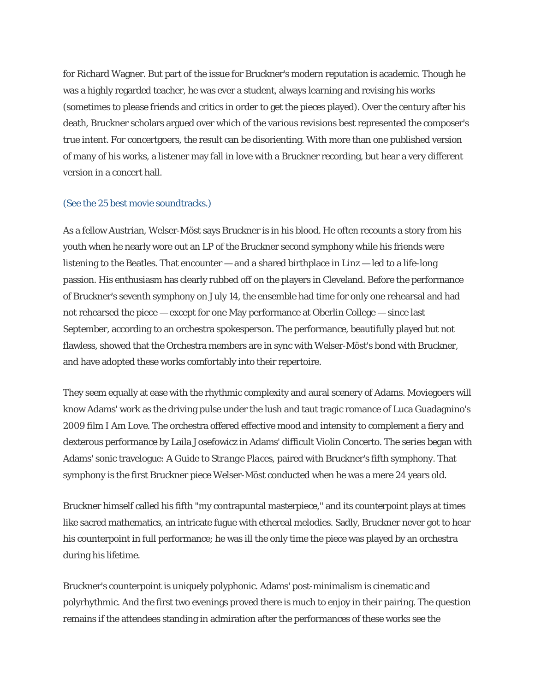for Richard Wagner. But part of the issue for Bruckner's modern reputation is academic. Though he was a highly regarded teacher, he was ever a student, always learning and revising his works (sometimes to please friends and critics in order to get the pieces played). Over the century after his death, Bruckner scholars argued over which of the various revisions best represented the composer's true intent. For concertgoers, the result can be disorienting. With more than one published version of many of his works, a listener may fall in love with a Bruckner recording, but hear a very different version in a concert hall.

## (See [the 25 best movie soundtracks.\)](http://www.time.com/time/specials/packages/article/0,28804,2053048_2055154_2053636,00.html)

As a fellow Austrian, Welser-Möst says Bruckner is in his blood. He often recounts a story from his youth when he nearly wore out an LP of the Bruckner second symphony while his friends were listening to the Beatles. That encounter — and a shared birthplace in Linz — led to a life-long passion. His enthusiasm has clearly rubbed off on the players in Cleveland. Before the performance of Bruckner's seventh symphony on July 14, the ensemble had time for only one rehearsal and had not rehearsed the piece — except for one May performance at Oberlin College — since last September, according to an orchestra spokesperson. The performance, beautifully played but not flawless, showed that the Orchestra members are in sync with Welser-Möst's bond with Bruckner, and have adopted these works comfortably into their repertoire.

They seem equally at ease with the rhythmic complexity and aural scenery of Adams. Moviegoers will know Adams' work as the driving pulse under the lush and taut tragic romance of Luca Guadagnino's 2009 film *I Am Love.* The orchestra offered effective mood and intensity to complement a fiery and dexterous performance by Laila Josefowicz in Adams' difficult Violin Concerto. The series began with Adams' sonic travelogue: *A Guide to Strange Places,* paired with Bruckner's fifth symphony. That symphony is the first Bruckner piece Welser-Möst conducted when he was a mere 24 years old.

Bruckner himself called his fifth "my contrapuntal masterpiece," and its counterpoint plays at times like sacred mathematics, an intricate fugue with ethereal melodies. Sadly, Bruckner never got to hear his counterpoint in full performance; he was ill the only time the piece was played by an orchestra during his lifetime.

Bruckner's counterpoint is uniquely polyphonic. Adams' post-minimalism is cinematic and polyrhythmic. And the first two evenings proved there is much to enjoy in their pairing. The question remains if the attendees standing in admiration after the performances of these works see the